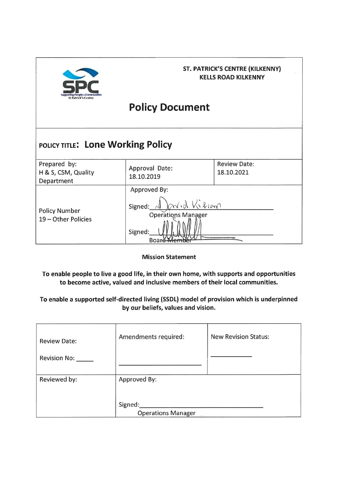

## **ST. PATRICK'S CENTRE (KILKENNY) KELLS ROAD KILKENNY**

# **Policy Document**

#### POLICY TITLE: Lone Working Policy Prepared by: **Review Date:** Approval Date: H & S, CSM, Quality 18.10.2021 18.10.2019 Department Approved By:  $\sqrt{k}$ Signed: **Policy Number** Oper 19 - Other Policies Signed:

**Mission Statement** 

Boar

To enable people to live a good life, in their own home, with supports and opportunities to become active, valued and inclusive members of their local communities.

To enable a supported self-directed living (SSDL) model of provision which is underpinned by our beliefs, values and vision.

| <b>Review Date:</b> | Amendments required:      | <b>New Revision Status:</b> |
|---------------------|---------------------------|-----------------------------|
| Revision No:        |                           |                             |
| Reviewed by:        | Approved By:              |                             |
|                     | Signed:                   |                             |
|                     | <b>Operations Manager</b> |                             |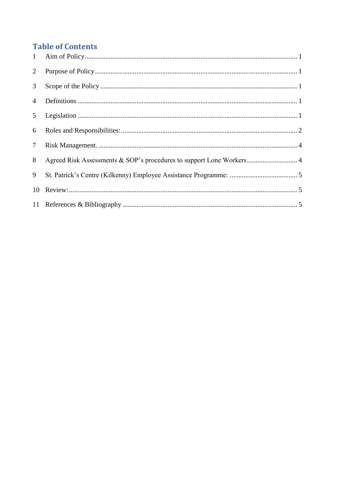## **Table of Contents**

| 1              |                                                                      |
|----------------|----------------------------------------------------------------------|
| $\overline{2}$ |                                                                      |
| 3 <sup>1</sup> |                                                                      |
| $\overline{4}$ |                                                                      |
| 5 <sup>5</sup> |                                                                      |
| 6              |                                                                      |
| $\tau$         |                                                                      |
| 8              | Agreed Risk Assessments & SOP's procedures to support Lone Workers 4 |
| 9              |                                                                      |
| 10             |                                                                      |
|                |                                                                      |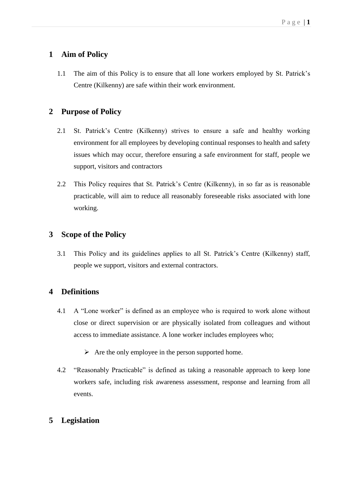## <span id="page-2-0"></span>**1 Aim of Policy**

1.1 The aim of this Policy is to ensure that all lone workers employed by St. Patrick's Centre (Kilkenny) are safe within their work environment.

## <span id="page-2-1"></span>**2 Purpose of Policy**

- 2.1 St. Patrick's Centre (Kilkenny) strives to ensure a safe and healthy working environment for all employees by developing continual responses to health and safety issues which may occur, therefore ensuring a safe environment for staff, people we support, visitors and contractors
- 2.2 This Policy requires that St. Patrick's Centre (Kilkenny), in so far as is reasonable practicable, will aim to reduce all reasonably foreseeable risks associated with lone working.

## <span id="page-2-2"></span>**3 Scope of the Policy**

3.1 This Policy and its guidelines applies to all St. Patrick's Centre (Kilkenny) staff, people we support, visitors and external contractors.

## <span id="page-2-3"></span>**4 Definitions**

- 4.1 A "Lone worker" is defined as an employee who is required to work alone without close or direct supervision or are physically isolated from colleagues and without access to immediate assistance. A lone worker includes employees who;
	- $\triangleright$  Are the only employee in the person supported home.
- 4.2 "Reasonably Practicable" is defined as taking a reasonable approach to keep lone workers safe, including risk awareness assessment, response and learning from all events.

## <span id="page-2-4"></span>**5 Legislation**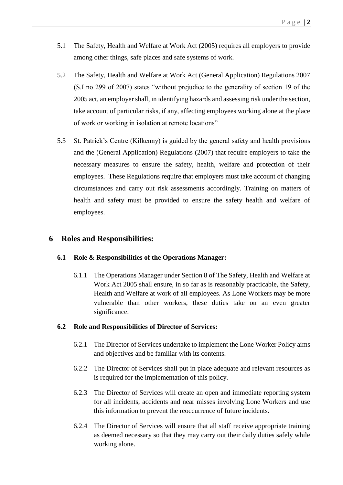- 5.1 The Safety, Health and Welfare at Work Act (2005) requires all employers to provide among other things, safe places and safe systems of work.
- 5.2 The Safety, Health and Welfare at Work Act (General Application) Regulations 2007 (S.I no 299 of 2007) states "without prejudice to the generality of section 19 of the 2005 act, an employer shall, in identifying hazards and assessing risk under the section, take account of particular risks, if any, affecting employees working alone at the place of work or working in isolation at remote locations"
- 5.3 St. Patrick's Centre (Kilkenny) is guided by the general safety and health provisions and the (General Application) Regulations (2007) that require employers to take the necessary measures to ensure the safety, health, welfare and protection of their employees. These Regulations require that employers must take account of changing circumstances and carry out risk assessments accordingly. Training on matters of health and safety must be provided to ensure the safety health and welfare of employees.

#### <span id="page-3-0"></span>**6 Roles and Responsibilities:**

#### **6.1 Role & Responsibilities of the Operations Manager:**

6.1.1 The Operations Manager under Section 8 of The Safety, Health and Welfare at Work Act 2005 shall ensure, in so far as is reasonably practicable, the Safety, Health and Welfare at work of all employees. As Lone Workers may be more vulnerable than other workers, these duties take on an even greater significance.

#### **6.2 Role and Responsibilities of Director of Services:**

- 6.2.1 The Director of Services undertake to implement the Lone Worker Policy aims and objectives and be familiar with its contents.
- 6.2.2 The Director of Services shall put in place adequate and relevant resources as is required for the implementation of this policy.
- 6.2.3 The Director of Services will create an open and immediate reporting system for all incidents, accidents and near misses involving Lone Workers and use this information to prevent the reoccurrence of future incidents.
- 6.2.4 The Director of Services will ensure that all staff receive appropriate training as deemed necessary so that they may carry out their daily duties safely while working alone.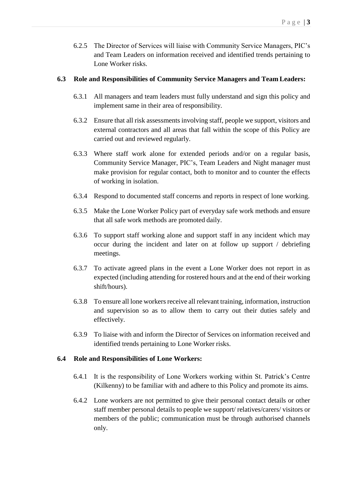6.2.5 The Director of Services will liaise with Community Service Managers, PIC's and Team Leaders on information received and identified trends pertaining to Lone Worker risks.

### **6.3 Role and Responsibilities of Community Service Managers and Team Leaders:**

- 6.3.1 All managers and team leaders must fully understand and sign this policy and implement same in their area of responsibility.
- 6.3.2 Ensure that all risk assessments involving staff, people we support, visitors and external contractors and all areas that fall within the scope of this Policy are carried out and reviewed regularly.
- 6.3.3 Where staff work alone for extended periods and/or on a regular basis, Community Service Manager, PIC's, Team Leaders and Night manager must make provision for regular contact, both to monitor and to counter the effects of working in isolation.
- 6.3.4 Respond to documented staff concerns and reports in respect of lone working.
- 6.3.5 Make the Lone Worker Policy part of everyday safe work methods and ensure that all safe work methods are promoted daily.
- 6.3.6 To support staff working alone and support staff in any incident which may occur during the incident and later on at follow up support / debriefing meetings.
- 6.3.7 To activate agreed plans in the event a Lone Worker does not report in as expected (including attending for rostered hours and at the end of their working shift/hours).
- 6.3.8 To ensure all lone workers receive all relevant training, information, instruction and supervision so as to allow them to carry out their duties safely and effectively.
- 6.3.9 To liaise with and inform the Director of Services on information received and identified trends pertaining to Lone Worker risks.

## **6.4 Role and Responsibilities of Lone Workers:**

- 6.4.1 It is the responsibility of Lone Workers working within St. Patrick's Centre (Kilkenny) to be familiar with and adhere to this Policy and promote its aims.
- 6.4.2 Lone workers are not permitted to give their personal contact details or other staff member personal details to people we support/ relatives/carers/ visitors or members of the public; communication must be through authorised channels only.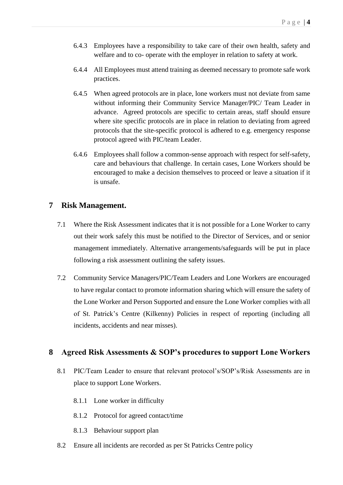- 6.4.3 Employees have a responsibility to take care of their own health, safety and welfare and to co- operate with the employer in relation to safety at work.
- 6.4.4 All Employees must attend training as deemed necessary to promote safe work practices.
- 6.4.5 When agreed protocols are in place, lone workers must not deviate from same without informing their Community Service Manager/PIC/ Team Leader in advance. Agreed protocols are specific to certain areas, staff should ensure where site specific protocols are in place in relation to deviating from agreed protocols that the site-specific protocol is adhered to e.g. emergency response protocol agreed with PIC/team Leader.
- 6.4.6 Employees shall follow a common-sense approach with respect for self-safety, care and behaviours that challenge. In certain cases, Lone Workers should be encouraged to make a decision themselves to proceed or leave a situation if it is unsafe.

#### <span id="page-5-0"></span>**7 Risk Management.**

- 7.1 Where the Risk Assessment indicates that it is not possible for a Lone Worker to carry out their work safely this must be notified to the Director of Services, and or senior management immediately. Alternative arrangements/safeguards will be put in place following a risk assessment outlining the safety issues.
- 7.2 Community Service Managers/PIC/Team Leaders and Lone Workers are encouraged to have regular contact to promote information sharing which will ensure the safety of the Lone Worker and Person Supported and ensure the Lone Worker complies with all of St. Patrick's Centre (Kilkenny) Policies in respect of reporting (including all incidents, accidents and near misses).

## <span id="page-5-1"></span>**8 Agreed Risk Assessments & SOP's procedures to support Lone Workers**

- 8.1 PIC/Team Leader to ensure that relevant protocol's/SOP's/Risk Assessments are in place to support Lone Workers.
	- 8.1.1 Lone worker in difficulty
	- 8.1.2 Protocol for agreed contact/time
	- 8.1.3 Behaviour support plan
- 8.2 Ensure all incidents are recorded as per St Patricks Centre policy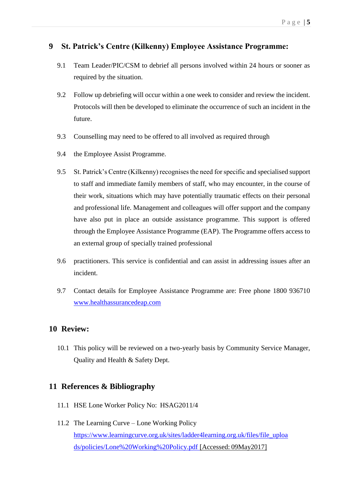## <span id="page-6-0"></span>**9 St. Patrick's Centre (Kilkenny) Employee Assistance Programme:**

- 9.1 Team Leader/PIC/CSM to debrief all persons involved within 24 hours or sooner as required by the situation.
- 9.2 Follow up debriefing will occur within a one week to consider and review the incident. Protocols will then be developed to eliminate the occurrence of such an incident in the future.
- 9.3 Counselling may need to be offered to all involved as required through
- 9.4 the Employee Assist Programme.
- 9.5 St. Patrick's Centre (Kilkenny) recognises the need for specific and specialised support to staff and immediate family members of staff, who may encounter, in the course of their work, situations which may have potentially traumatic effects on their personal and professional life. Management and colleagues will offer support and the company have also put in place an outside assistance programme. This support is offered through the Employee Assistance Programme (EAP). The Programme offers access to an external group of specially trained professional
- 9.6 practitioners. This service is confidential and can assist in addressing issues after an incident.
- 9.7 Contact details for Employee Assistance Programme are: Free phone 1800 936710 [www.healthassurancedeap.com](http://www.healthassurancedeap.com/)

#### <span id="page-6-1"></span>**10 Review:**

10.1 This policy will be reviewed on a two-yearly basis by Community Service Manager, Quality and Health & Safety Dept.

## <span id="page-6-2"></span>**11 References & Bibliography**

- 11.1 HSE Lone Worker Policy No: HSAG2011/4
- 11.2 The Learning Curve Lone Working Policy [https://www.learningcurve.org.uk/sites/ladder4learning.org.uk/files/file\\_uploa](https://www.learningcurve.org.uk/sites/ladder4learning.org.uk/files/file_uploads/policies/Lone%20Working%20Policy.pdf)  [ds/policies/Lone%20Working%20Policy.pdf \[](https://www.learningcurve.org.uk/sites/ladder4learning.org.uk/files/file_uploads/policies/Lone%20Working%20Policy.pdf)Accessed: 09May2017]